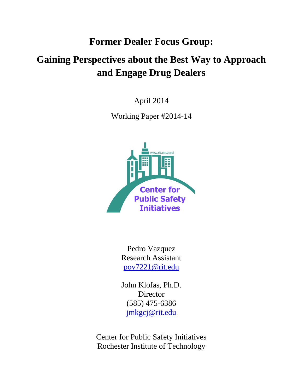## **Former Dealer Focus Group:**

# **Gaining Perspectives about the Best Way to Approach and Engage Drug Dealers**

April 2014

Working Paper #2014-14



Pedro Vazquez Research Assistant [pov7221@rit.edu](mailto:pov7221@rit.edu)

John Klofas, Ph.D. **Director** (585) 475-6386 [jmkgcj@rit.edu](mailto:jmkgcj@rit.edu)

Center for Public Safety Initiatives Rochester Institute of Technology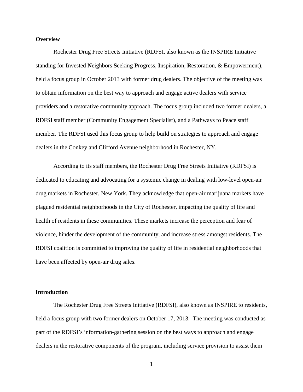#### **Overview**

Rochester Drug Free Streets Initiative (RDFSI, also known as the INSPIRE Initiative standing for **I**nvested **N**eighbors **S**eeking **P**rogress, **I**nspiration, **R**estoration, & **E**mpowerment), held a focus group in October 2013 with former drug dealers. The objective of the meeting was to obtain information on the best way to approach and engage active dealers with service providers and a restorative community approach. The focus group included two former dealers, a RDFSI staff member (Community Engagement Specialist), and a Pathways to Peace staff member. The RDFSI used this focus group to help build on strategies to approach and engage dealers in the Conkey and Clifford Avenue neighborhood in Rochester, NY.

According to its staff members, the Rochester Drug Free Streets Initiative (RDFSI) is dedicated to educating and advocating for a systemic change in dealing with low-level open-air drug markets in Rochester, New York. They acknowledge that open-air marijuana markets have plagued residential neighborhoods in the City of Rochester, impacting the quality of life and health of residents in these communities. These markets increase the perception and fear of violence, hinder the development of the community, and increase stress amongst residents. The RDFSI coalition is committed to improving the quality of life in residential neighborhoods that have been affected by open-air drug sales.

## **Introduction**

The Rochester Drug Free Streets Initiative (RDFSI), also known as INSPIRE to residents, held a focus group with two former dealers on October 17, 2013. The meeting was conducted as part of the RDFSI's information-gathering session on the best ways to approach and engage dealers in the restorative components of the program, including service provision to assist them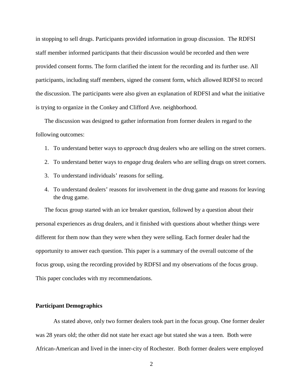in stopping to sell drugs. Participants provided information in group discussion. The RDFSI staff member informed participants that their discussion would be recorded and then were provided consent forms. The form clarified the intent for the recording and its further use. All participants, including staff members, signed the consent form, which allowed RDFSI to record the discussion. The participants were also given an explanation of RDFSI and what the initiative is trying to organize in the Conkey and Clifford Ave. neighborhood.

The discussion was designed to gather information from former dealers in regard to the following outcomes:

- 1. To understand better ways to *approach* drug dealers who are selling on the street corners.
- 2. To understand better ways to *engage* drug dealers who are selling drugs on street corners.
- 3. To understand individuals' reasons for selling.
- 4. To understand dealers' reasons for involvement in the drug game and reasons for leaving the drug game.

The focus group started with an ice breaker question, followed by a question about their personal experiences as drug dealers, and it finished with questions about whether things were different for them now than they were when they were selling. Each former dealer had the opportunity to answer each question. This paper is a summary of the overall outcome of the focus group, using the recording provided by RDFSI and my observations of the focus group. This paper concludes with my recommendations.

### **Participant Demographics**

As stated above, only two former dealers took part in the focus group. One former dealer was 28 years old; the other did not state her exact age but stated she was a teen. Both were African-American and lived in the inner-city of Rochester. Both former dealers were employed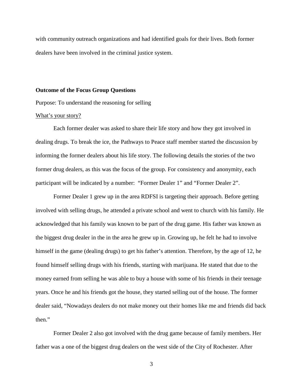with community outreach organizations and had identified goals for their lives. Both former dealers have been involved in the criminal justice system.

#### **Outcome of the Focus Group Questions**

Purpose: To understand the reasoning for selling

## What's your story?

Each former dealer was asked to share their life story and how they got involved in dealing drugs. To break the ice, the Pathways to Peace staff member started the discussion by informing the former dealers about his life story. The following details the stories of the two former drug dealers, as this was the focus of the group. For consistency and anonymity, each participant will be indicated by a number: "Former Dealer 1" and "Former Dealer 2".

Former Dealer 1 grew up in the area RDFSI is targeting their approach. Before getting involved with selling drugs, he attended a private school and went to church with his family. He acknowledged that his family was known to be part of the drug game. His father was known as the biggest drug dealer in the in the area he grew up in. Growing up, he felt he had to involve himself in the game (dealing drugs) to get his father's attention. Therefore, by the age of 12, he found himself selling drugs with his friends, starting with marijuana. He stated that due to the money earned from selling he was able to buy a house with some of his friends in their teenage years. Once he and his friends got the house, they started selling out of the house. The former dealer said, "Nowadays dealers do not make money out their homes like me and friends did back then."

Former Dealer 2 also got involved with the drug game because of family members. Her father was a one of the biggest drug dealers on the west side of the City of Rochester. After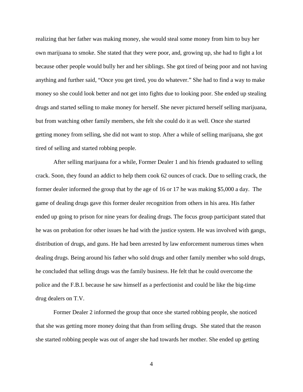realizing that her father was making money, she would steal some money from him to buy her own marijuana to smoke. She stated that they were poor, and, growing up, she had to fight a lot because other people would bully her and her siblings. She got tired of being poor and not having anything and further said, "Once you get tired, you do whatever." She had to find a way to make money so she could look better and not get into fights due to looking poor. She ended up stealing drugs and started selling to make money for herself. She never pictured herself selling marijuana, but from watching other family members, she felt she could do it as well. Once she started getting money from selling, she did not want to stop. After a while of selling marijuana, she got tired of selling and started robbing people.

After selling marijuana for a while, Former Dealer 1 and his friends graduated to selling crack. Soon, they found an addict to help them cook 62 ounces of crack. Due to selling crack, the former dealer informed the group that by the age of 16 or 17 he was making \$5,000 a day. The game of dealing drugs gave this former dealer recognition from others in his area. His father ended up going to prison for nine years for dealing drugs. The focus group participant stated that he was on probation for other issues he had with the justice system. He was involved with gangs, distribution of drugs, and guns. He had been arrested by law enforcement numerous times when dealing drugs. Being around his father who sold drugs and other family member who sold drugs, he concluded that selling drugs was the family business. He felt that he could overcome the police and the F.B.I. because he saw himself as a perfectionist and could be like the big-time drug dealers on T.V.

Former Dealer 2 informed the group that once she started robbing people, she noticed that she was getting more money doing that than from selling drugs. She stated that the reason she started robbing people was out of anger she had towards her mother. She ended up getting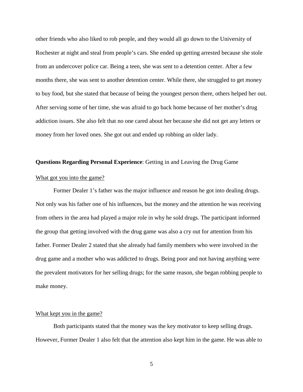other friends who also liked to rob people, and they would all go down to the University of Rochester at night and steal from people's cars. She ended up getting arrested because she stole from an undercover police car. Being a teen, she was sent to a detention center. After a few months there, she was sent to another detention center. While there, she struggled to get money to buy food, but she stated that because of being the youngest person there, others helped her out. After serving some of her time, she was afraid to go back home because of her mother's drug addiction issues. She also felt that no one cared about her because she did not get any letters or money from her loved ones. She got out and ended up robbing an older lady.

## **Questions Regarding Personal Experience**: Getting in and Leaving the Drug Game

#### What got you into the game?

Former Dealer 1's father was the major influence and reason he got into dealing drugs. Not only was his father one of his influences, but the money and the attention he was receiving from others in the area had played a major role in why he sold drugs. The participant informed the group that getting involved with the drug game was also a cry out for attention from his father. Former Dealer 2 stated that she already had family members who were involved in the drug game and a mother who was addicted to drugs. Being poor and not having anything were the prevalent motivators for her selling drugs; for the same reason, she began robbing people to make money.

#### What kept you in the game?

Both participants stated that the money was the key motivator to keep selling drugs. However, Former Dealer 1 also felt that the attention also kept him in the game. He was able to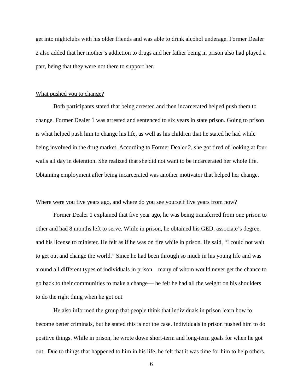get into nightclubs with his older friends and was able to drink alcohol underage. Former Dealer 2 also added that her mother's addiction to drugs and her father being in prison also had played a part, being that they were not there to support her.

#### What pushed you to change?

Both participants stated that being arrested and then incarcerated helped push them to change. Former Dealer 1 was arrested and sentenced to six years in state prison. Going to prison is what helped push him to change his life, as well as his children that he stated he had while being involved in the drug market. According to Former Dealer 2, she got tired of looking at four walls all day in detention. She realized that she did not want to be incarcerated her whole life. Obtaining employment after being incarcerated was another motivator that helped her change.

## Where were you five years ago, and where do you see yourself five years from now?

Former Dealer 1 explained that five year ago, he was being transferred from one prison to other and had 8 months left to serve. While in prison, he obtained his GED, associate's degree, and his license to minister. He felt as if he was on fire while in prison. He said, "I could not wait to get out and change the world." Since he had been through so much in his young life and was around all different types of individuals in prison—many of whom would never get the chance to go back to their communities to make a change— he felt he had all the weight on his shoulders to do the right thing when he got out.

He also informed the group that people think that individuals in prison learn how to become better criminals, but he stated this is not the case. Individuals in prison pushed him to do positive things. While in prison, he wrote down short-term and long-term goals for when he got out. Due to things that happened to him in his life, he felt that it was time for him to help others.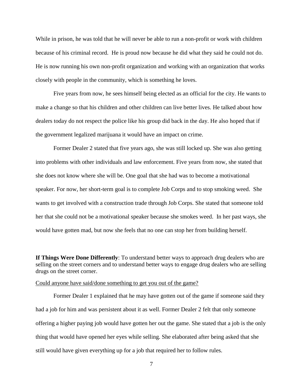While in prison, he was told that he will never be able to run a non-profit or work with children because of his criminal record. He is proud now because he did what they said he could not do. He is now running his own non-profit organization and working with an organization that works closely with people in the community, which is something he loves.

Five years from now, he sees himself being elected as an official for the city. He wants to make a change so that his children and other children can live better lives. He talked about how dealers today do not respect the police like his group did back in the day. He also hoped that if the government legalized marijuana it would have an impact on crime.

Former Dealer 2 stated that five years ago, she was still locked up. She was also getting into problems with other individuals and law enforcement. Five years from now, she stated that she does not know where she will be. One goal that she had was to become a motivational speaker. For now, her short-term goal is to complete Job Corps and to stop smoking weed. She wants to get involved with a construction trade through Job Corps. She stated that someone told her that she could not be a motivational speaker because she smokes weed. In her past ways, she would have gotten mad, but now she feels that no one can stop her from building herself.

**If Things Were Done Differently**: To understand better ways to approach drug dealers who are selling on the street corners and to understand better ways to engage drug dealers who are selling drugs on the street corner.

#### Could anyone have said/done something to get you out of the game?

Former Dealer 1 explained that he may have gotten out of the game if someone said they had a job for him and was persistent about it as well. Former Dealer 2 felt that only someone offering a higher paying job would have gotten her out the game. She stated that a job is the only thing that would have opened her eyes while selling. She elaborated after being asked that she still would have given everything up for a job that required her to follow rules.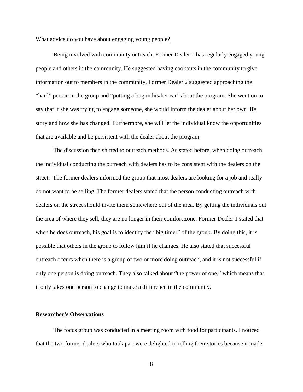#### What advice do you have about engaging young people?

Being involved with community outreach, Former Dealer 1 has regularly engaged young people and others in the community. He suggested having cookouts in the community to give information out to members in the community. Former Dealer 2 suggested approaching the "hard" person in the group and "putting a bug in his/her ear" about the program. She went on to say that if she was trying to engage someone, she would inform the dealer about her own life story and how she has changed. Furthermore, she will let the individual know the opportunities that are available and be persistent with the dealer about the program.

The discussion then shifted to outreach methods. As stated before, when doing outreach, the individual conducting the outreach with dealers has to be consistent with the dealers on the street. The former dealers informed the group that most dealers are looking for a job and really do not want to be selling. The former dealers stated that the person conducting outreach with dealers on the street should invite them somewhere out of the area. By getting the individuals out the area of where they sell, they are no longer in their comfort zone. Former Dealer 1 stated that when he does outreach, his goal is to identify the "big timer" of the group. By doing this, it is possible that others in the group to follow him if he changes. He also stated that successful outreach occurs when there is a group of two or more doing outreach, and it is not successful if only one person is doing outreach. They also talked about "the power of one," which means that it only takes one person to change to make a difference in the community.

## **Researcher's Observations**

The focus group was conducted in a meeting room with food for participants. I noticed that the two former dealers who took part were delighted in telling their stories because it made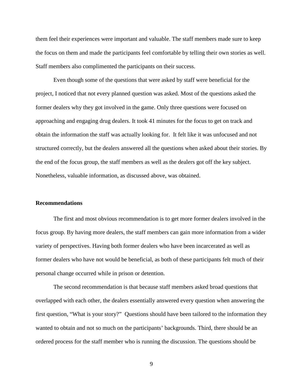them feel their experiences were important and valuable. The staff members made sure to keep the focus on them and made the participants feel comfortable by telling their own stories as well. Staff members also complimented the participants on their success.

Even though some of the questions that were asked by staff were beneficial for the project, I noticed that not every planned question was asked. Most of the questions asked the former dealers why they got involved in the game. Only three questions were focused on approaching and engaging drug dealers. It took 41 minutes for the focus to get on track and obtain the information the staff was actually looking for. It felt like it was unfocused and not structured correctly, but the dealers answered all the questions when asked about their stories. By the end of the focus group, the staff members as well as the dealers got off the key subject. Nonetheless, valuable information, as discussed above, was obtained.

#### **Recommendations**

The first and most obvious recommendation is to get more former dealers involved in the focus group. By having more dealers, the staff members can gain more information from a wider variety of perspectives. Having both former dealers who have been incarcerated as well as former dealers who have not would be beneficial, as both of these participants felt much of their personal change occurred while in prison or detention.

The second recommendation is that because staff members asked broad questions that overlapped with each other, the dealers essentially answered every question when answering the first question, "What is your story?" Questions should have been tailored to the information they wanted to obtain and not so much on the participants' backgrounds. Third, there should be an ordered process for the staff member who is running the discussion. The questions should be